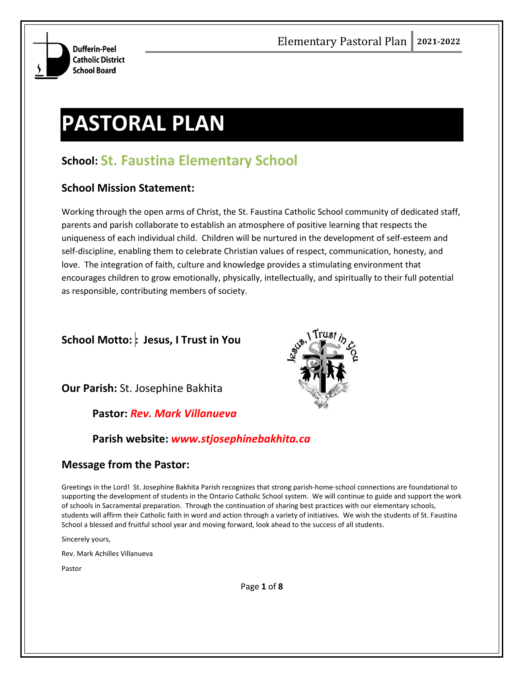

# **PASTORAL PLAN**

# **School: St. Faustina Elementary School**

## **School Mission Statement:**

Working through the open arms of Christ, the St. Faustina Catholic School community of dedicated staff, parents and parish collaborate to establish an atmosphere of positive learning that respects the uniqueness of each individual child. Children will be nurtured in the development of self-esteem and self-discipline, enabling them to celebrate Christian values of respect, communication, honesty, and love. The integration of faith, culture and knowledge provides a stimulating environment that encourages children to grow emotionally, physically, intellectually, and spiritually to their full potential as responsible, contributing members of society.

# **School Motto: : Jesus, I Trust in You**

**Our Parish:** St. Josephine Bakhita

#### **Pastor:** *Rev. Mark Villanueva*

# **Parish website:** *www.stjosephinebakhita.ca*

# **Message from the Pastor:**

Greetings in the Lord! St. Josephine Bakhita Parish recognizes that strong parish-home-school connections are foundational to supporting the development of students in the Ontario Catholic School system. We will continue to guide and support the work of schools in Sacramental preparation. Through the continuation of sharing best practices with our elementary schools, students will affirm their Catholic faith in word and action through a variety of initiatives. We wish the students of St. Faustina School a blessed and fruitful school year and moving forward, look ahead to the success of all students.

Sincerely yours,

Rev. Mark Achilles Villanueva

Pastor



Page **1** of **8**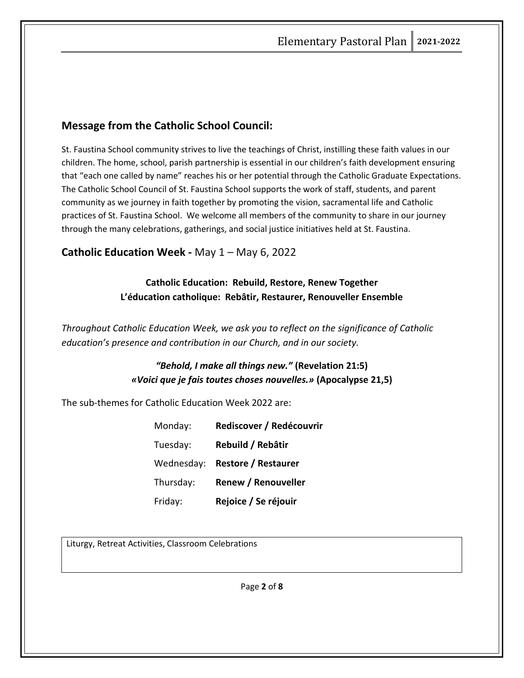# **Message from the Catholic School Council:**

St. Faustina School community strives to live the teachings of Christ, instilling these faith values in our children. The home, school, parish partnership is essential in our children's faith development ensuring that "each one called by name" reaches his or her potential through the Catholic Graduate Expectations. The Catholic School Council of St. Faustina School supports the work of staff, students, and parent community as we journey in faith together by promoting the vision, sacramental life and Catholic practices of St. Faustina School. We welcome all members of the community to share in our journey through the many celebrations, gatherings, and social justice initiatives held at St. Faustina.

## **Catholic Education Week -** May 1 – May 6, 2022

# **Catholic Education: Rebuild, Restore, Renew Together L'éducation catholique: Rebâtir, Restaurer, Renouveller Ensemble**

*Throughout Catholic Education Week, we ask you to reflect on the significance of Catholic education's presence and contribution in our Church, and in our society.*

# *"Behold, I make all things new."* **(Revelation 21:5)** *«Voici que je fais toutes choses nouvelles.»* **(Apocalypse 21,5)**

The sub-themes for Catholic Education Week 2022 are:

| Monday:    | Rediscover / Redécouvrir   |
|------------|----------------------------|
| Tuesday:   | Rebuild / Rebâtir          |
| Wednesday: | <b>Restore / Restaurer</b> |
| Thursday:  | <b>Renew / Renouveller</b> |
| Friday:    | Rejoice / Se réjouir       |

Liturgy, Retreat Activities, Classroom Celebrations

Page **2** of **8**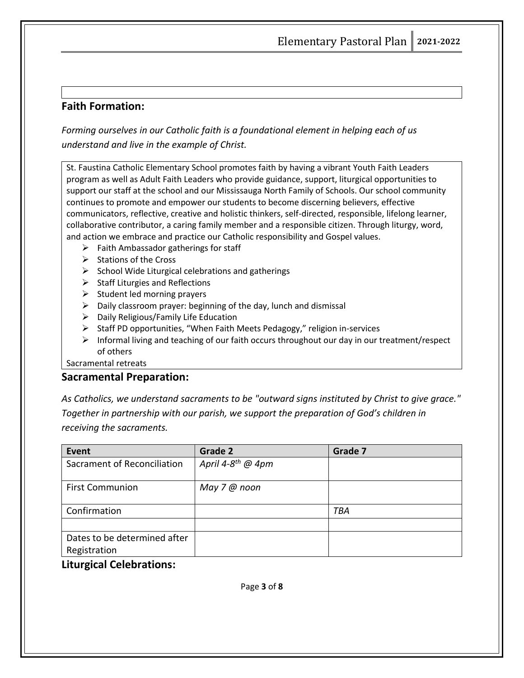# **Faith Formation:**

*Forming ourselves in our Catholic faith is a foundational element in helping each of us understand and live in the example of Christ.*

St. Faustina Catholic Elementary School promotes faith by having a vibrant Youth Faith Leaders program as well as Adult Faith Leaders who provide guidance, support, liturgical opportunities to support our staff at the school and our Mississauga North Family of Schools. Our school community continues to promote and empower our students to become discerning believers, effective communicators, reflective, creative and holistic thinkers, self-directed, responsible, lifelong learner, collaborative contributor, a caring family member and a responsible citizen. Through liturgy, word, and action we embrace and practice our Catholic responsibility and Gospel values.

- $\triangleright$  Faith Ambassador gatherings for staff
- ➢ Stations of the Cross
- $\triangleright$  School Wide Liturgical celebrations and gatherings
- $\triangleright$  Staff Liturgies and Reflections
- $\triangleright$  Student led morning prayers
- $\triangleright$  Daily classroom prayer: beginning of the day, lunch and dismissal
- ➢ Daily Religious/Family Life Education
- ➢ Staff PD opportunities, "When Faith Meets Pedagogy," religion in-services
- $\triangleright$  Informal living and teaching of our faith occurs throughout our day in our treatment/respect of others

Sacramental retreats

#### **Sacramental Preparation:**

*As Catholics, we understand sacraments to be "outward signs instituted by Christ to give grace." Together in partnership with our parish, we support the preparation of God's children in receiving the sacraments.*

| Event                        | Grade 2                       | Grade 7    |
|------------------------------|-------------------------------|------------|
| Sacrament of Reconciliation  | April 4-8 <sup>th</sup> @ 4pm |            |
| <b>First Communion</b>       | May 7 @ noon                  |            |
| Confirmation                 |                               | <b>TBA</b> |
|                              |                               |            |
| Dates to be determined after |                               |            |
| Registration                 |                               |            |

#### **Liturgical Celebrations:**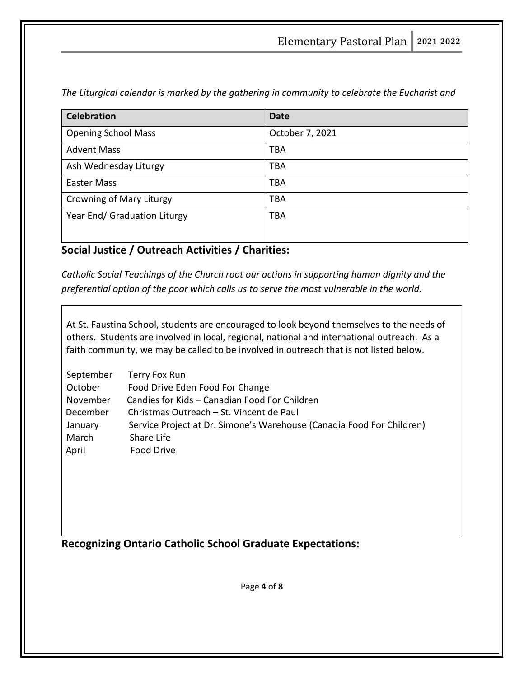*The Liturgical calendar is marked by the gathering in community to celebrate the Eucharist and* 

| <b>Celebration</b>           | <b>Date</b>     |
|------------------------------|-----------------|
| <b>Opening School Mass</b>   | October 7, 2021 |
| <b>Advent Mass</b>           | <b>TBA</b>      |
| Ash Wednesday Liturgy        | <b>TBA</b>      |
| <b>Easter Mass</b>           | <b>TBA</b>      |
| Crowning of Mary Liturgy     | <b>TBA</b>      |
| Year End/ Graduation Liturgy | <b>TBA</b>      |

# **Social Justice / Outreach Activities / Charities:**

*Catholic Social Teachings of the Church root our actions in supporting human dignity and the preferential option of the poor which calls us to serve the most vulnerable in the world.*

At St. Faustina School, students are encouraged to look beyond themselves to the needs of others. Students are involved in local, regional, national and international outreach. As a faith community, we may be called to be involved in outreach that is not listed below.

| September | Terry Fox Run                                                         |
|-----------|-----------------------------------------------------------------------|
| October   | Food Drive Eden Food For Change                                       |
| November  | Candies for Kids - Canadian Food For Children                         |
| December  | Christmas Outreach - St. Vincent de Paul                              |
| January   | Service Project at Dr. Simone's Warehouse (Canadia Food For Children) |
| March     | Share Life                                                            |
| April     | Food Drive                                                            |

**Recognizing Ontario Catholic School Graduate Expectations:**

Page **4** of **8**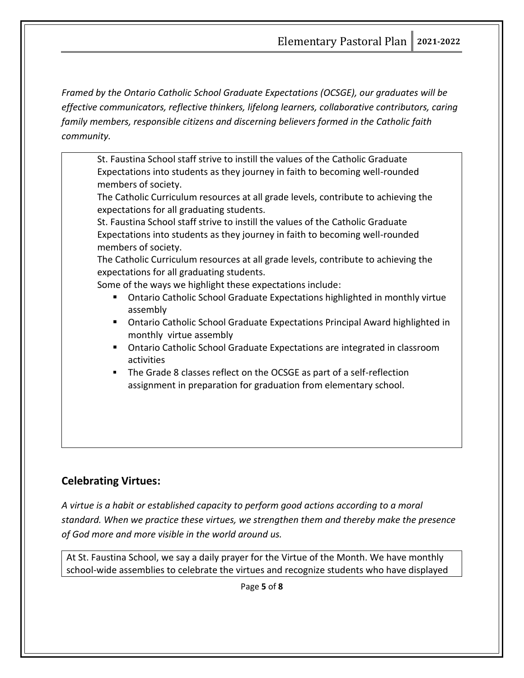*Framed by the Ontario Catholic School Graduate Expectations (OCSGE), our graduates will be effective communicators, reflective thinkers, lifelong learners, collaborative contributors, caring family members, responsible citizens and discerning believers formed in the Catholic faith community.*

St. Faustina School staff strive to instill the values of the Catholic Graduate Expectations into students as they journey in faith to becoming well-rounded members of society.

The Catholic Curriculum resources at all grade levels, contribute to achieving the expectations for all graduating students.

St. Faustina School staff strive to instill the values of the Catholic Graduate Expectations into students as they journey in faith to becoming well-rounded members of society.

The Catholic Curriculum resources at all grade levels, contribute to achieving the expectations for all graduating students.

Some of the ways we highlight these expectations include:

- Ontario Catholic School Graduate Expectations highlighted in monthly virtue assembly
- Ontario Catholic School Graduate Expectations Principal Award highlighted in monthly virtue assembly
- Ontario Catholic School Graduate Expectations are integrated in classroom activities
- The Grade 8 classes reflect on the OCSGE as part of a self-reflection assignment in preparation for graduation from elementary school.

# **Celebrating Virtues:**

*A virtue is a habit or established capacity to perform good actions according to a moral standard. When we practice these virtues, we strengthen them and thereby make the presence of God more and more visible in the world around us.* 

At St. Faustina School, we say a daily prayer for the Virtue of the Month. We have monthly school-wide assemblies to celebrate the virtues and recognize students who have displayed

Page **5** of **8**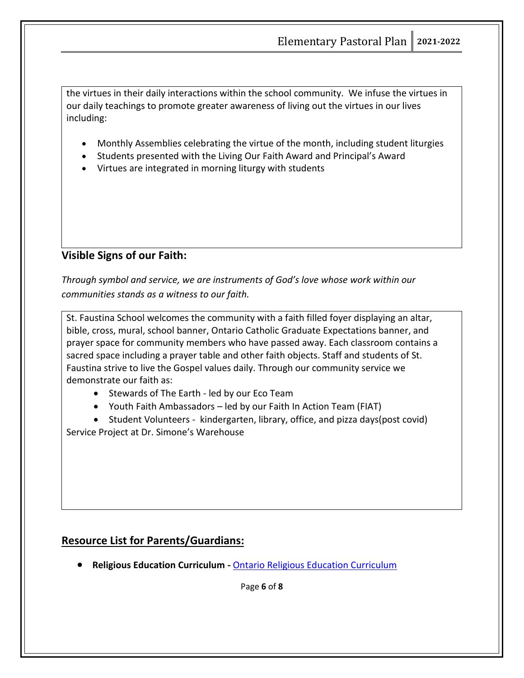the virtues in their daily interactions within the school community. We infuse the virtues in our daily teachings to promote greater awareness of living out the virtues in our lives including:

- Monthly Assemblies celebrating the virtue of the month, including student liturgies
- Students presented with the Living Our Faith Award and Principal's Award
- Virtues are integrated in morning liturgy with students

# **Visible Signs of our Faith:**

*Through symbol and service, we are instruments of God's love whose work within our communities stands as a witness to our faith.* 

St. Faustina School welcomes the community with a faith filled foyer displaying an altar, bible, cross, mural, school banner, Ontario Catholic Graduate Expectations banner, and prayer space for community members who have passed away. Each classroom contains a sacred space including a prayer table and other faith objects. Staff and students of St. Faustina strive to live the Gospel values daily. Through our community service we demonstrate our faith as:

- Stewards of The Earth led by our Eco Team
- Youth Faith Ambassadors led by our Faith In Action Team (FIAT)
- Student Volunteers kindergarten, library, office, and pizza days(post covid) Service Project at Dr. Simone's Warehouse

# **Resource List for Parents/Guardians:**

• **Religious Education Curriculum -** [Ontario Religious Education Curriculum](https://iceont.ca/curriculum/)

Page **6** of **8**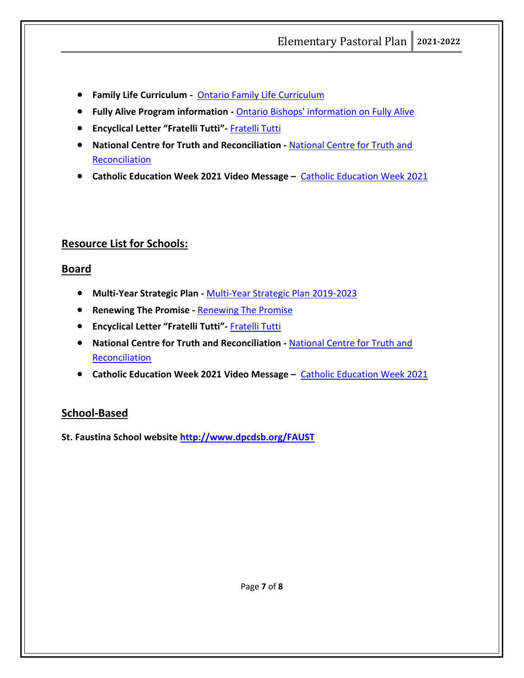- **Family Life Curriculum** [Ontario Family Life Curriculum](https://iceont.ca/curriculum/)
- **Fully Alive Program information -** [Ontario Bishops' information on Fully Alive](http://acbo.on.ca/educational-resources/)
- **Encyclical Letter "Fratelli Tutti"-** [Fratelli Tutti](https://www.vatican.va/content/francesco/en/encyclicals/documents/papa-francesco_20201003_enciclica-fratelli-tutti.html)
- **National Centre for Truth and Reconciliation -** [National Centre for Truth and](https://nctr.ca/)  **[Reconciliation](https://nctr.ca/)**
- **[Catholic Education Week 2021](https://www.youtube.com/watch?v=FU9eEExbkZw) Video Message Catholic Education Week 2021**

#### **Resource List for Schools:**

#### **Board**

- **Multi-Year Strategic Plan -** [Multi-Year Strategic Plan 2019-2023](https://www3.dpcdsb.org/Documents/2019-23%20MYSP%20Flyer%20FINAL.pdf)
- **Renewing The Promise -** [Renewing The Promise](https://iceont.ca/renewing-the-promise-2/)
- **Encyclical Letter "Fratelli Tutti"-** [Fratelli Tutti](https://www.vatican.va/content/francesco/en/encyclicals/documents/papa-francesco_20201003_enciclica-fratelli-tutti.html)
- **National Centre for Truth and Reconciliation -** [National Centre for Truth and](https://nctr.ca/)  **[Reconciliation](https://nctr.ca/)**
- **Catholic Education Week 2021 Video Message –** [Catholic Education Week 2021](https://www.youtube.com/watch?v=FU9eEExbkZw)

#### **School-Based**

**St. Faustina School website<http://www.dpcdsb.org/FAUST>**